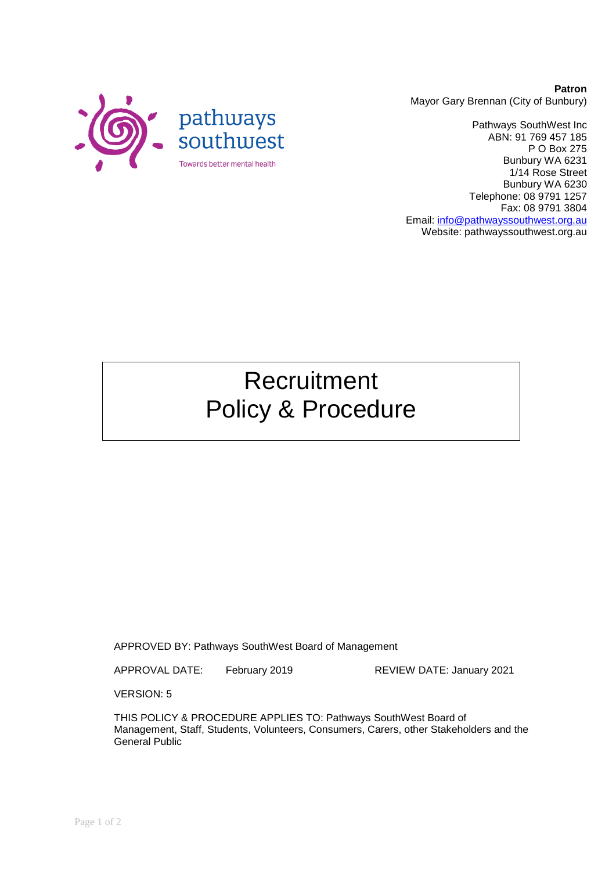

**Patron** Mayor Gary Brennan (City of Bunbury)

Pathways SouthWest Inc ABN: 91 769 457 185 P O Box 275 Bunbury WA 6231 1/14 Rose Street Bunbury WA 6230 Telephone: 08 9791 1257 Fax: 08 9791 3804 Email: [info@pathwayssouthwest.org.au](mailto:info@pathwayssouthwest.org.au) Website: pathwayssouthwest.org.au

# Recruitment Policy & Procedure

APPROVED BY: Pathways SouthWest Board of Management

APPROVAL DATE: February 2019 REVIEW DATE: January 2021

VERSION: 5

THIS POLICY & PROCEDURE APPLIES TO: Pathways SouthWest Board of Management, Staff, Students, Volunteers, Consumers, Carers, other Stakeholders and the General Public